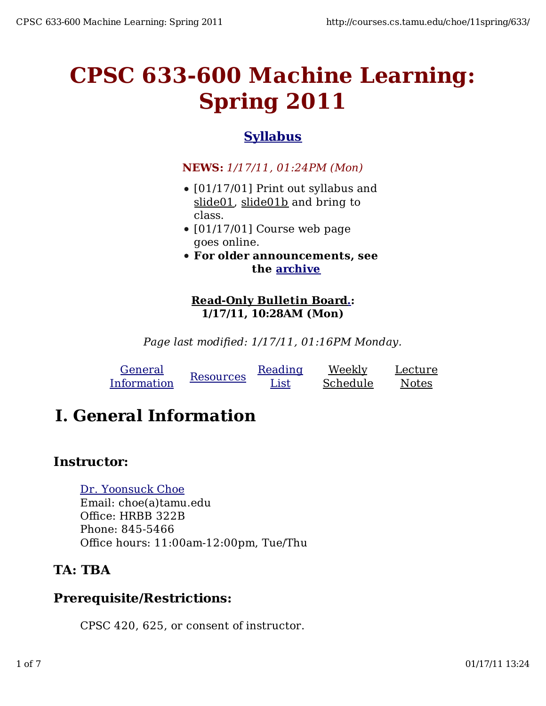# **CPSC 633-600 Machine Learning: Spring 2011**

### **Syllabus**

#### **NEWS:** *1/17/11, 01:24PM (Mon)*

- [01/17/01] Print out syllabus and slide01, slide01b and bring to class.
- $\bullet$  [01/17/01] Course web page goes online.
- **For older announcements, see the archive**

#### **Read-Only Bulletin Board.: 1/17/11, 10:28AM (Mon)**

*Page last modified: 1/17/11, 01:16PM Monday.*

| General     | Resources | Reading | Weekly   | Lecture |
|-------------|-----------|---------|----------|---------|
| Information |           | List    | Schedule | Notes   |

# **I. General Information**

#### **Instructor:**

#### Dr. Yoonsuck Choe

Email: choe(a)tamu.edu Office: HRBB 322B Phone: 845-5466 Office hours: 11:00am-12:00pm, Tue/Thu

### **TA: TBA**

#### **Prerequisite/Restrictions:**

CPSC 420, 625, or consent of instructor.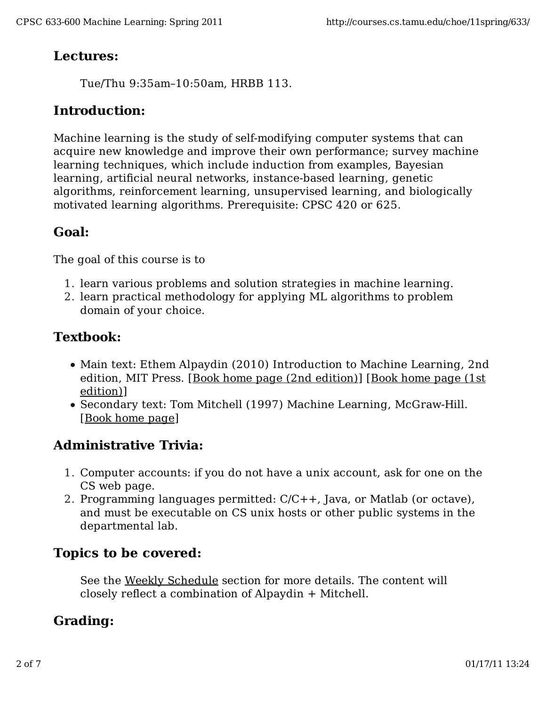#### **Lectures:**

Tue/Thu 9:35am–10:50am, HRBB 113.

#### **Introduction:**

Machine learning is the study of self-modifying computer systems that can acquire new knowledge and improve their own performance; survey machine learning techniques, which include induction from examples, Bayesian learning, artificial neural networks, instance-based learning, genetic algorithms, reinforcement learning, unsupervised learning, and biologically motivated learning algorithms. Prerequisite: CPSC 420 or 625.

### **Goal:**

The goal of this course is to

- 1. learn various problems and solution strategies in machine learning.
- 2. learn practical methodology for applying ML algorithms to problem domain of your choice.

## **Textbook:**

- Main text: Ethem Alpaydin (2010) Introduction to Machine Learning, 2nd edition, MIT Press. [Book home page (2nd edition)] [Book home page (1st edition)]
- Secondary text: Tom Mitchell (1997) Machine Learning, McGraw-Hill. [Book home page]

#### **Administrative Trivia:**

- 1. Computer accounts: if you do not have a unix account, ask for one on the CS web page.
- 2. Programming languages permitted: C/C++, Java, or Matlab (or octave), and must be executable on CS unix hosts or other public systems in the departmental lab.

#### **Topics to be covered:**

See the Weekly Schedule section for more details. The content will closely reflect a combination of Alpaydin + Mitchell.

### **Grading:**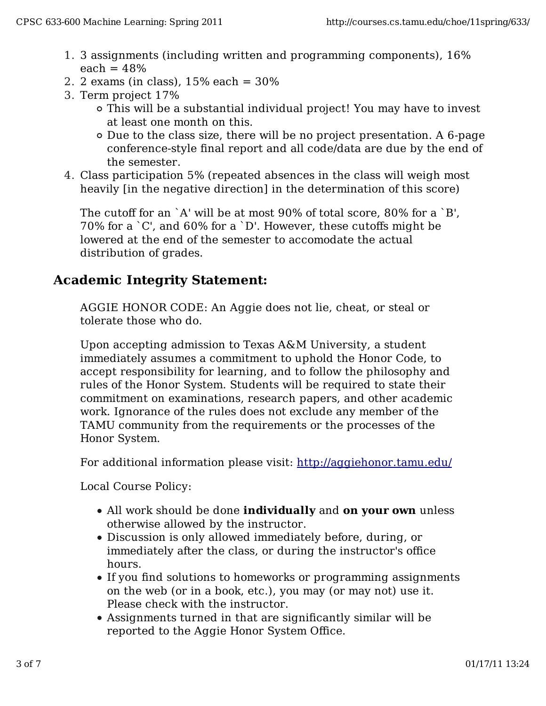- 3 assignments (including written and programming components), 16% 1. each  $= 48%$
- 2. 2 exams (in class),  $15%$  each =  $30%$
- 3. Term project 17%
	- This will be a substantial individual project! You may have to invest at least one month on this.
	- Due to the class size, there will be no project presentation. A 6-page conference-style final report and all code/data are due by the end of the semester.
- Class participation 5% (repeated absences in the class will weigh most 4. heavily [in the negative direction] in the determination of this score)

The cutoff for an `A' will be at most 90% of total score, 80% for a `B', 70% for a `C', and 60% for a `D'. However, these cutoffs might be lowered at the end of the semester to accomodate the actual distribution of grades.

#### **Academic Integrity Statement:**

AGGIE HONOR CODE: An Aggie does not lie, cheat, or steal or tolerate those who do.

Upon accepting admission to Texas A&M University, a student immediately assumes a commitment to uphold the Honor Code, to accept responsibility for learning, and to follow the philosophy and rules of the Honor System. Students will be required to state their commitment on examinations, research papers, and other academic work. Ignorance of the rules does not exclude any member of the TAMU community from the requirements or the processes of the Honor System.

For additional information please visit: http://aggiehonor.tamu.edu/

Local Course Policy:

- All work should be done **individually** and **on your own** unless otherwise allowed by the instructor.
- Discussion is only allowed immediately before, during, or immediately after the class, or during the instructor's office hours.
- If you find solutions to homeworks or programming assignments on the web (or in a book, etc.), you may (or may not) use it. Please check with the instructor.
- Assignments turned in that are significantly similar will be reported to the Aggie Honor System Office.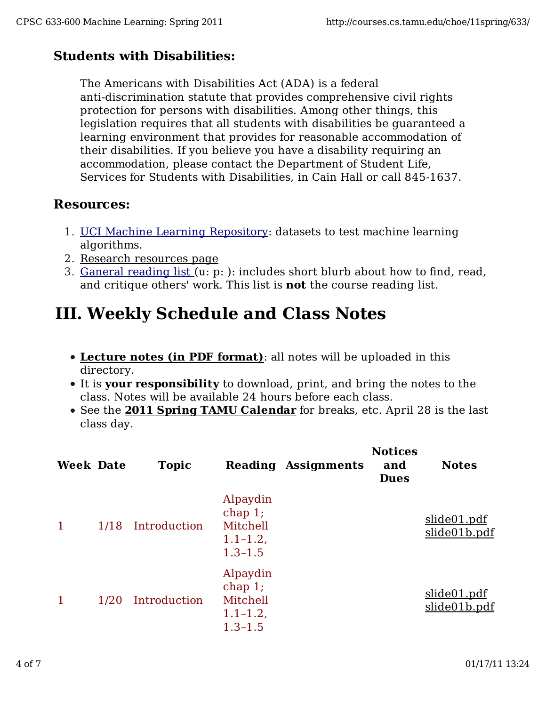# **Students with Disabilities:**

The Americans with Disabilities Act (ADA) is a federal

anti-discrimination statute that provides comprehensive civil rights protection for persons with disabilities. Among other things, this legislation requires that all students with disabilities be guaranteed a learning environment that provides for reasonable accommodation of their disabilities. If you believe you have a disability requiring an accommodation, please contact the Department of Student Life, Services for Students with Disabilities, in Cain Hall or call 845-1637.

#### **Resources:**

- 1. UCI Machine Learning Repository: datasets to test machine learning algorithms.
- 2. Research resources page
- 3. <u>Ganeral reading list (</u>u: p: ): includes short blurb about how to find, read, and critique others' work. This list is **not** the course reading list.

# **III. Weekly Schedule and Class Notes**

- **Lecture notes (in PDF format)**: all notes will be uploaded in this directory.
- It is **your responsibility** to download, print, and bring the notes to the class. Notes will be available 24 hours before each class.
- See the **2011 Spring TAMU Calendar** for breaks, etc. April 28 is the last class day.

| <b>Week Date</b> |      | <b>Topic</b> |                                                               | <b>Reading Assignments</b> | <b>Notices</b><br>and<br><b>Dues</b> | <b>Notes</b>                |
|------------------|------|--------------|---------------------------------------------------------------|----------------------------|--------------------------------------|-----------------------------|
| 1                | 1/18 | Introduction | Alpaydin<br>chap 1;<br>Mitchell<br>$1.1 - 1.2$<br>$1.3 - 1.5$ |                            |                                      | slide01.pdf<br>slide01b.pdf |
| 1                | 1/20 | Introduction | Alpaydin<br>chap 1;<br>Mitchell<br>$1.1 - 1.2$<br>$1.3 - 1.5$ |                            |                                      | slide01.pdf<br>slide01b.pdf |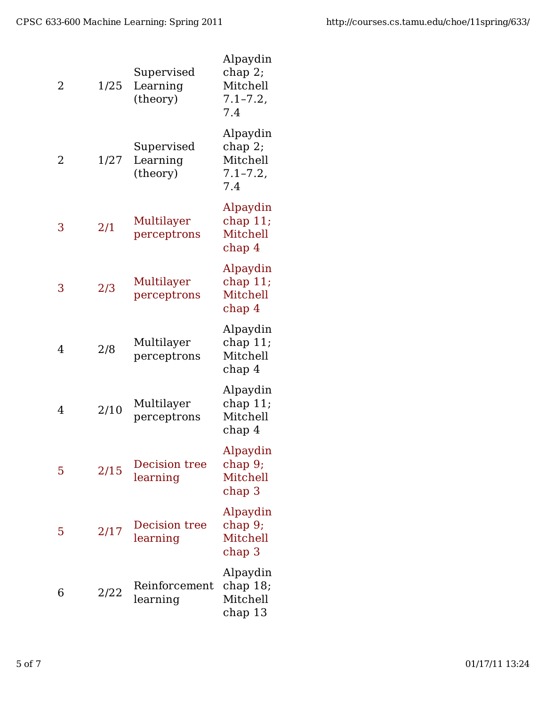| 2 | 1/25 | Supervised<br>Learning<br>(theory) | Alpaydin<br>chap 2;<br>Mitchell<br>$7.1 - 7.2$<br>7.4 |
|---|------|------------------------------------|-------------------------------------------------------|
| 2 | 1/27 | Supervised<br>Learning<br>(theory) | Alpaydin<br>chap 2;<br>Mitchell<br>$7.1 - 7.2$<br>7.4 |
| 3 | 2/1  | Multilayer<br>perceptrons          | Alpaydin<br>chap $11$ ;<br>Mitchell<br>chap 4         |
| 3 | 2/3  | Multilayer<br>perceptrons          | Alpaydin<br>chap $11;$<br>Mitchell<br>chap 4          |
| 4 | 2/8  | Multilayer<br>perceptrons          | Alpaydin<br>chap $11$ ;<br>Mitchell<br>chap 4         |
| 4 | 2/10 | Multilayer<br>perceptrons          | Alpaydin<br>chap $11;$<br>Mitchell<br>chap 4          |
| 5 | 2/15 | <b>Decision tree</b><br>learning   | Alpaydin<br>chap 9;<br>Mitchell<br>chap 3             |
| 5 | 2/17 | Decision tree<br>learning          | Alpaydin<br>chap 9;<br>Mitchell<br>chap 3             |
| 6 | 2/22 | Reinforcement<br>learning          | Alpaydin<br>chap $18$ ;<br>Mitchell<br>chap 13        |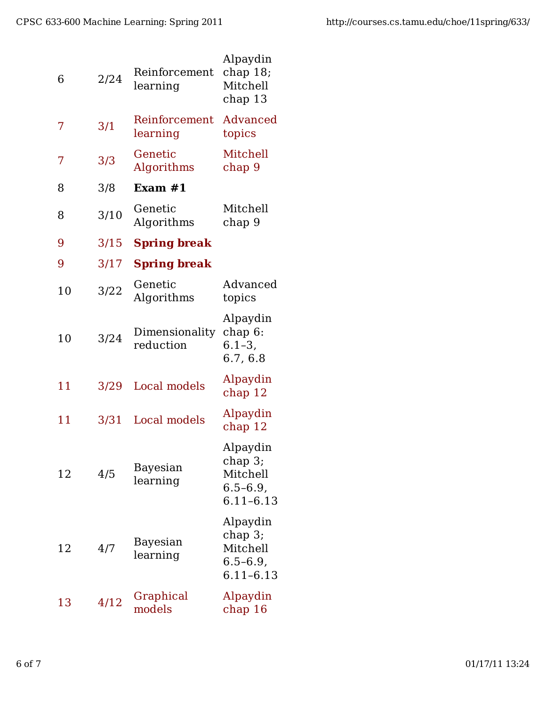| 6  | 2/24 | Reinforcement<br>learning   | Alpaydin<br>chap $18$ ;<br>Mitchell<br>chap 13                    |
|----|------|-----------------------------|-------------------------------------------------------------------|
| 7  | 3/1  | Reinforcement<br>learning   | Advanced<br>topics                                                |
| 7  | 3/3  | Genetic<br>Algorithms       | Mitchell<br>chap 9                                                |
| 8  | 3/8  | Exam $#1$                   |                                                                   |
| 8  | 3/10 | Genetic<br>Algorithms       | Mitchell<br>chap 9                                                |
| 9  | 3/15 | <b>Spring break</b>         |                                                                   |
| 9  | 3/17 | <b>Spring break</b>         |                                                                   |
| 10 | 3/22 | Genetic<br>Algorithms       | Advanced<br>topics                                                |
| 10 | 3/24 | Dimensionality<br>reduction | Alpaydin<br>chap 6:<br>$6.1 - 3,$<br>6.7, 6.8                     |
| 11 | 3/29 | Local models                | Alpaydin<br>chap 12                                               |
| 11 | 3/31 | Local models                | Alpaydin<br>chap 12                                               |
| 12 | 4/5  | Bayesian<br>learning        | Alpaydin<br>$chap3$ ;<br>Mitchell<br>$6.5 - 6.9$<br>$6.11 - 6.13$ |
| 12 | 4/7  | Bayesian<br>learning        | Alpaydin<br>$chap3$ ;<br>Mitchell<br>$6.5 - 6.9$<br>6.11-6.13     |
| 13 | 4/12 | Graphical<br>models         | Alpaydin<br>chap 16                                               |